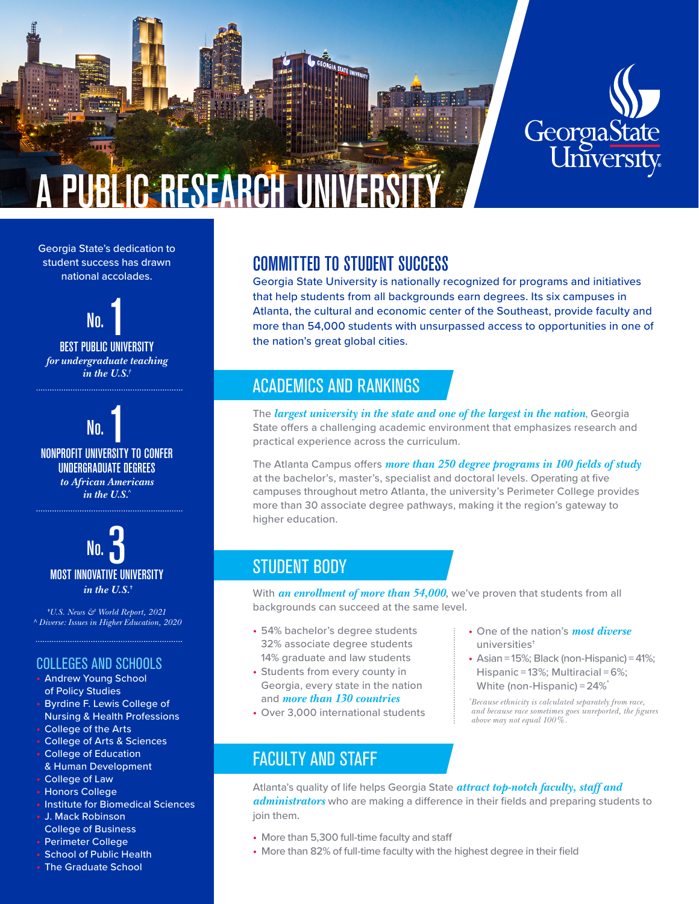



#### Georgia State's dedication to student success has drawn national accolades.





NO.<br>Nonprofit University to Confer UNDERGRADUATE DEGREES *to African Americans in the U.S.^*



**†***U.S. News & World Report, 2021 ^ Diverse: Issues in Higher Education, 2020*

## COLLEGES AND SCHOOLS

- Andrew Young School of Policy Studies
- Byrdine F. Lewis College of Nursing & Health Professions
- College of the Arts
- College of Arts & Sciences
- College of Education & Human Development
- College of Law
- Honors College
- Institute for Biomedical Sciences
- J. Mack Robinson
- College of Business
- Perimeter College
- School of Public Health
- The Graduate School

# COMMITTED TO STUDENT SUCCESS

Georgia State University is nationally recognized for programs and initiatives that help students from all backgrounds earn degrees. Its six campuses in Atlanta, the cultural and economic center of the Southeast, provide faculty and more than 54,000 students with unsurpassed access to opportunities in one of the nation's great global cities.

# ACADEMICS AND RANKINGS

The *largest university in the state and one of the largest in the nation*, Georgia State offers a challenging academic environment that emphasizes research and practical experience across the curriculum.

The Atlanta Campus offers *more than 250 degree programs in 100 fields of study* at the bachelor's, master's, specialist and doctoral levels. Operating at five campuses throughout metro Atlanta, the university's Perimeter College provides more than 30 associate degree pathways, making it the region's gateway to higher education.

# STUDENT BODY

With *an enrollment of more than 54,000*, we've proven that students from all backgrounds can succeed at the same level.

- 54% bachelor's degree students 32% associate degree students 14% graduate and law students
- Students from every county in Georgia, every state in the nation and *more than 130 countries*
- Over 3,000 international students
- One of the nation's *most diverse* universities†
- $\bullet$  Asian = 15%; Black (non-Hispanic) = 41%; Hispanic = 13%; Multiracial = 6%; White (non-Hispanic) =  $24\%$ <sup>\*</sup>

*\* Because ethnicity is calculated separately from race, and because race sometimes goes unreported, the figures above may not equal 100%.*

# FACULTY AND STAFF

Atlanta's quality of life helps Georgia State *attract top-notch faculty, staff and administrators* who are making a difference in their fields and preparing students to join them.

- More than 5,300 full-time faculty and staff
- More than 82% of full-time faculty with the highest degree in their field